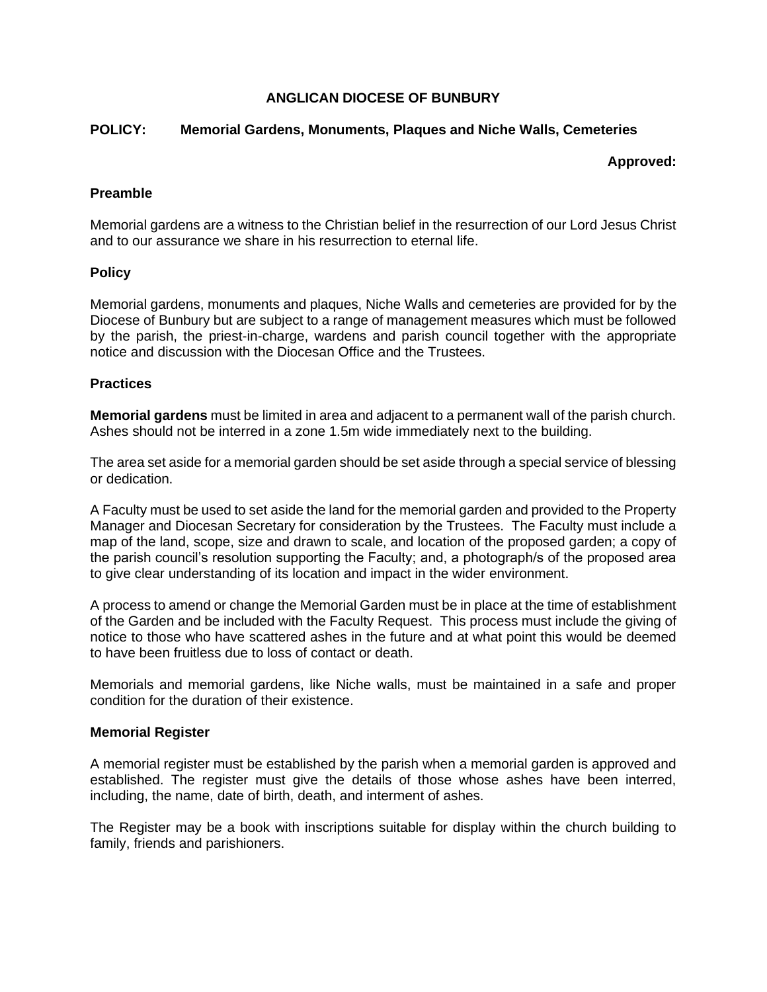## **ANGLICAN DIOCESE OF BUNBURY**

### **POLICY: Memorial Gardens, Monuments, Plaques and Niche Walls, Cemeteries**

#### **Approved:**

### **Preamble**

Memorial gardens are a witness to the Christian belief in the resurrection of our Lord Jesus Christ and to our assurance we share in his resurrection to eternal life.

### **Policy**

Memorial gardens, monuments and plaques, Niche Walls and cemeteries are provided for by the Diocese of Bunbury but are subject to a range of management measures which must be followed by the parish, the priest-in-charge, wardens and parish council together with the appropriate notice and discussion with the Diocesan Office and the Trustees.

### **Practices**

**Memorial gardens** must be limited in area and adjacent to a permanent wall of the parish church. Ashes should not be interred in a zone 1.5m wide immediately next to the building.

The area set aside for a memorial garden should be set aside through a special service of blessing or dedication.

A Faculty must be used to set aside the land for the memorial garden and provided to the Property Manager and Diocesan Secretary for consideration by the Trustees. The Faculty must include a map of the land, scope, size and drawn to scale, and location of the proposed garden; a copy of the parish council's resolution supporting the Faculty; and, a photograph/s of the proposed area to give clear understanding of its location and impact in the wider environment.

A process to amend or change the Memorial Garden must be in place at the time of establishment of the Garden and be included with the Faculty Request. This process must include the giving of notice to those who have scattered ashes in the future and at what point this would be deemed to have been fruitless due to loss of contact or death.

Memorials and memorial gardens, like Niche walls, must be maintained in a safe and proper condition for the duration of their existence.

#### **Memorial Register**

A memorial register must be established by the parish when a memorial garden is approved and established. The register must give the details of those whose ashes have been interred, including, the name, date of birth, death, and interment of ashes.

The Register may be a book with inscriptions suitable for display within the church building to family, friends and parishioners.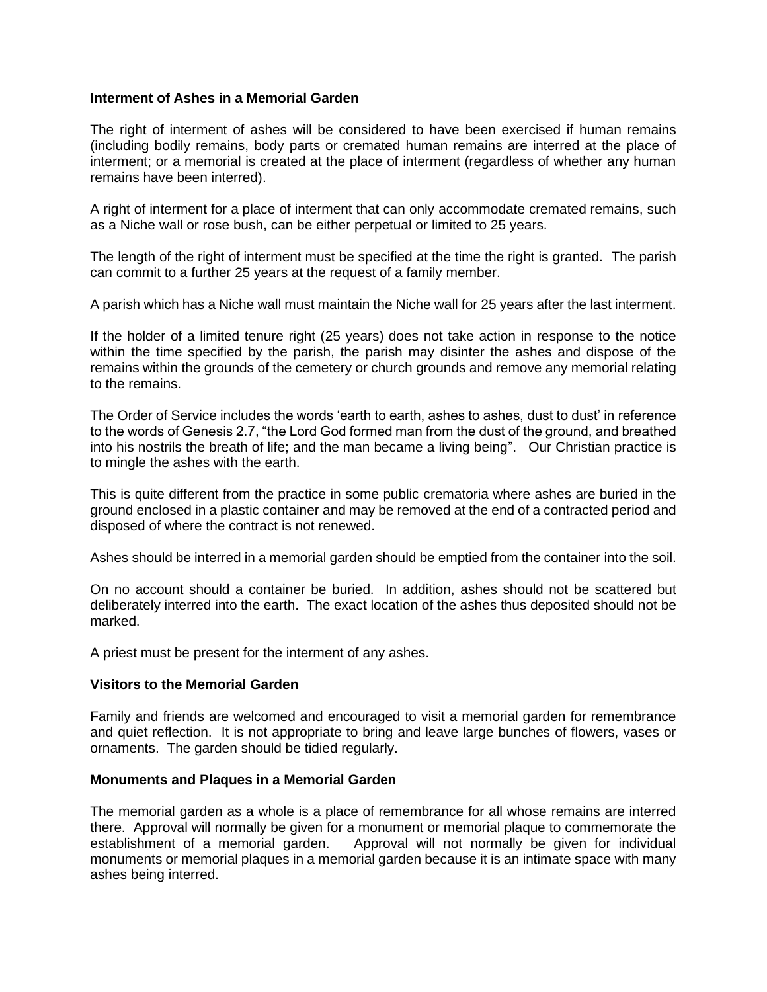### **Interment of Ashes in a Memorial Garden**

The right of interment of ashes will be considered to have been exercised if human remains (including bodily remains, body parts or cremated human remains are interred at the place of interment; or a memorial is created at the place of interment (regardless of whether any human remains have been interred).

A right of interment for a place of interment that can only accommodate cremated remains, such as a Niche wall or rose bush, can be either perpetual or limited to 25 years.

The length of the right of interment must be specified at the time the right is granted. The parish can commit to a further 25 years at the request of a family member.

A parish which has a Niche wall must maintain the Niche wall for 25 years after the last interment.

If the holder of a limited tenure right (25 years) does not take action in response to the notice within the time specified by the parish, the parish may disinter the ashes and dispose of the remains within the grounds of the cemetery or church grounds and remove any memorial relating to the remains.

The Order of Service includes the words 'earth to earth, ashes to ashes, dust to dust' in reference to the words of Genesis 2.7, "the Lord God formed man from the dust of the ground, and breathed into his nostrils the breath of life; and the man became a living being". Our Christian practice is to mingle the ashes with the earth.

This is quite different from the practice in some public crematoria where ashes are buried in the ground enclosed in a plastic container and may be removed at the end of a contracted period and disposed of where the contract is not renewed.

Ashes should be interred in a memorial garden should be emptied from the container into the soil.

On no account should a container be buried. In addition, ashes should not be scattered but deliberately interred into the earth. The exact location of the ashes thus deposited should not be marked.

A priest must be present for the interment of any ashes.

# **Visitors to the Memorial Garden**

Family and friends are welcomed and encouraged to visit a memorial garden for remembrance and quiet reflection. It is not appropriate to bring and leave large bunches of flowers, vases or ornaments. The garden should be tidied regularly.

#### **Monuments and Plaques in a Memorial Garden**

The memorial garden as a whole is a place of remembrance for all whose remains are interred there. Approval will normally be given for a monument or memorial plaque to commemorate the establishment of a memorial garden. Approval will not normally be given for individual monuments or memorial plaques in a memorial garden because it is an intimate space with many ashes being interred.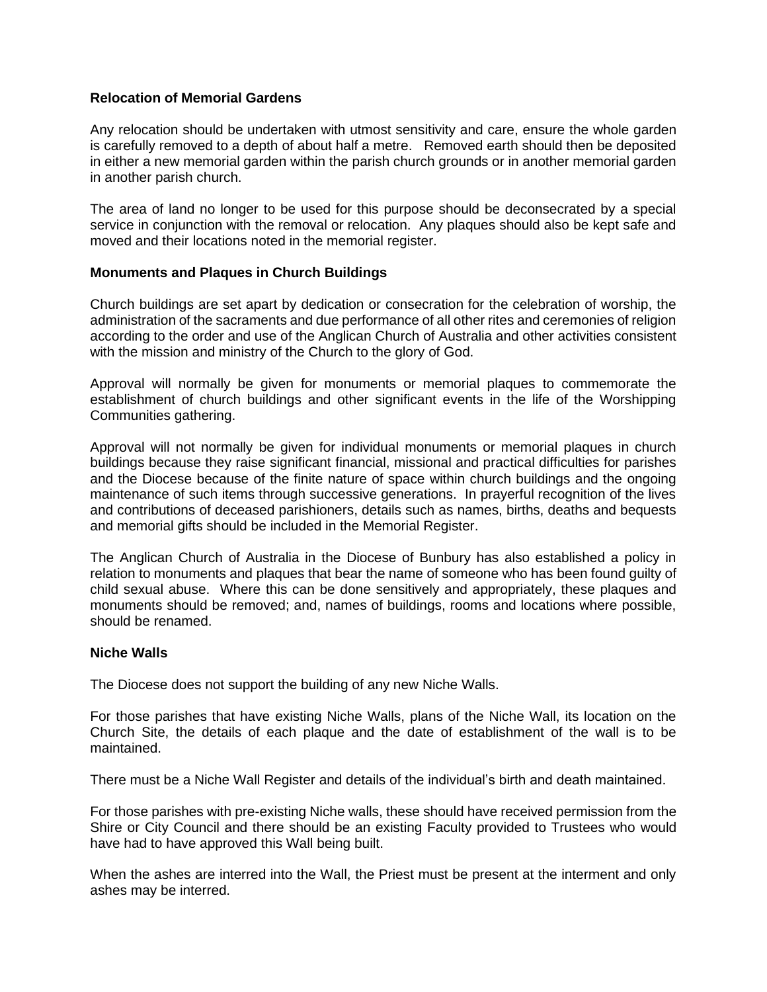#### **Relocation of Memorial Gardens**

Any relocation should be undertaken with utmost sensitivity and care, ensure the whole garden is carefully removed to a depth of about half a metre. Removed earth should then be deposited in either a new memorial garden within the parish church grounds or in another memorial garden in another parish church.

The area of land no longer to be used for this purpose should be deconsecrated by a special service in conjunction with the removal or relocation. Any plaques should also be kept safe and moved and their locations noted in the memorial register.

### **Monuments and Plaques in Church Buildings**

Church buildings are set apart by dedication or consecration for the celebration of worship, the administration of the sacraments and due performance of all other rites and ceremonies of religion according to the order and use of the Anglican Church of Australia and other activities consistent with the mission and ministry of the Church to the glory of God.

Approval will normally be given for monuments or memorial plaques to commemorate the establishment of church buildings and other significant events in the life of the Worshipping Communities gathering.

Approval will not normally be given for individual monuments or memorial plaques in church buildings because they raise significant financial, missional and practical difficulties for parishes and the Diocese because of the finite nature of space within church buildings and the ongoing maintenance of such items through successive generations. In prayerful recognition of the lives and contributions of deceased parishioners, details such as names, births, deaths and bequests and memorial gifts should be included in the Memorial Register.

The Anglican Church of Australia in the Diocese of Bunbury has also established a policy in relation to monuments and plaques that bear the name of someone who has been found guilty of child sexual abuse. Where this can be done sensitively and appropriately, these plaques and monuments should be removed; and, names of buildings, rooms and locations where possible, should be renamed.

#### **Niche Walls**

The Diocese does not support the building of any new Niche Walls.

For those parishes that have existing Niche Walls, plans of the Niche Wall, its location on the Church Site, the details of each plaque and the date of establishment of the wall is to be maintained.

There must be a Niche Wall Register and details of the individual's birth and death maintained.

For those parishes with pre-existing Niche walls, these should have received permission from the Shire or City Council and there should be an existing Faculty provided to Trustees who would have had to have approved this Wall being built.

When the ashes are interred into the Wall, the Priest must be present at the interment and only ashes may be interred.